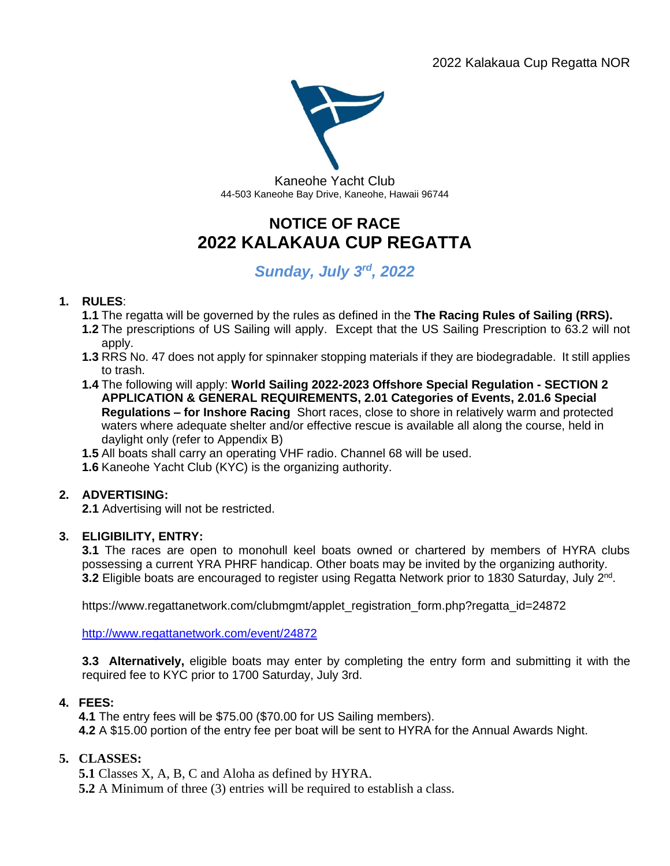

# **NOTICE OF RACE 2022 KALAKAUA CUP REGATTA**

## *Sunday, July 3 rd , 2022*

## **1. RULES**:

- **1.1** The regatta will be governed by the rules as defined in the **The Racing Rules of Sailing (RRS).**
- **1.2** The prescriptions of US Sailing will apply. Except that the US Sailing Prescription to 63.2 will not apply.
- **1.3** RRS No. 47 does not apply for spinnaker stopping materials if they are biodegradable. It still applies to trash.
- **1.4** The following will apply: **World Sailing 2022-2023 Offshore Special Regulation - SECTION 2 APPLICATION & GENERAL REQUIREMENTS, 2.01 Categories of Events, 2.01.6 Special Regulations – for Inshore Racing** Short races, close to shore in relatively warm and protected waters where adequate shelter and/or effective rescue is available all along the course, held in daylight only (refer to Appendix B)
- **1.5** All boats shall carry an operating VHF radio. Channel 68 will be used.
- **1.6** Kaneohe Yacht Club (KYC) is the organizing authority.

## **2. ADVERTISING:**

**2.1** Advertising will not be restricted.

## **3. ELIGIBILITY, ENTRY:**

**3.1** The races are open to monohull keel boats owned or chartered by members of HYRA clubs possessing a current YRA PHRF handicap. Other boats may be invited by the organizing authority. 3.2 Eligible boats are encouraged to register using Regatta Network prior to 1830 Saturday, July 2<sup>nd</sup>.

https://www.regattanetwork.com/clubmgmt/applet\_registration\_form.php?regatta\_id=24872

<http://www.regattanetwork.com/event/24872>

**3.3 Alternatively,** eligible boats may enter by completing the entry form and submitting it with the required fee to KYC prior to 1700 Saturday, July 3rd.

## **4. FEES:**

**4.1** The entry fees will be \$75.00 (\$70.00 for US Sailing members). **4.2** A \$15.00 portion of the entry fee per boat will be sent to HYRA for the Annual Awards Night.

## **5. CLASSES:**

**5.1** Classes X, A, B, C and Aloha as defined by HYRA.

**5.2** A Minimum of three (3) entries will be required to establish a class.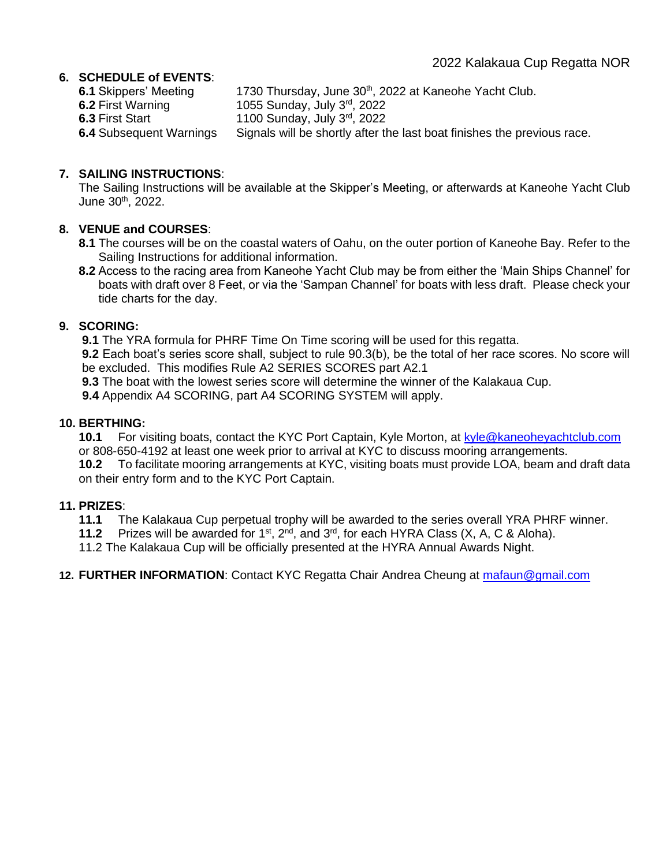#### **6. SCHEDULE of EVENTS**:

**6.1** Skippers' Meeting 1730 Thursday, June 30<sup>th</sup>, 2022 at Kaneohe Yacht Club. **6.2** First Warning 1055 Sunday, July 3rd, 2022 **6.3** First Start 1100 Sunday, July 3<sup>rd</sup>, 2022 **6.4** Subsequent Warnings Signals will be shortly after the last boat finishes the previous race.

#### **7. SAILING INSTRUCTIONS**:

The Sailing Instructions will be available at the Skipper's Meeting, or afterwards at Kaneohe Yacht Club June 30th, 2022.

#### **8. VENUE and COURSES**:

- **8.1** The courses will be on the coastal waters of Oahu, on the outer portion of Kaneohe Bay. Refer to the Sailing Instructions for additional information.
- **8.2** Access to the racing area from Kaneohe Yacht Club may be from either the 'Main Ships Channel' for boats with draft over 8 Feet, or via the 'Sampan Channel' for boats with less draft. Please check your tide charts for the day.

#### **9. SCORING:**

**9.1** The YRA formula for PHRF Time On Time scoring will be used for this regatta.

**9.2** Each boat's series score shall, subject to rule 90.3(b), be the total of her race scores. No score will be excluded. This modifies Rule A2 SERIES SCORES part A2.1

**9.3** The boat with the lowest series score will determine the winner of the Kalakaua Cup.

**9.4** Appendix A4 SCORING, part A4 SCORING SYSTEM will apply.

#### **10. BERTHING:**

**10.1** For visiting boats, contact the KYC Port Captain, Kyle Morton, at [kyle@kaneoheyachtclub.com](mailto:kyle@kaneoheyachtclub.com) or 808-650-4192 at least one week prior to arrival at KYC to discuss mooring arrangements.

**10.2** To facilitate mooring arrangements at KYC, visiting boats must provide LOA, beam and draft data on their entry form and to the KYC Port Captain.

#### **11. PRIZES**:

**11.1** The Kalakaua Cup perpetual trophy will be awarded to the series overall YRA PHRF winner.

**11.2** Prizes will be awarded for 1<sup>st</sup>, 2<sup>nd</sup>, and 3<sup>rd</sup>, for each HYRA Class (X, A, C & Aloha).

11.2 The Kalakaua Cup will be officially presented at the HYRA Annual Awards Night.

#### **12. FURTHER INFORMATION**: Contact KYC Regatta Chair Andrea Cheung at [mafaun@gmail.com](mailto:mafaun@gmail.com)